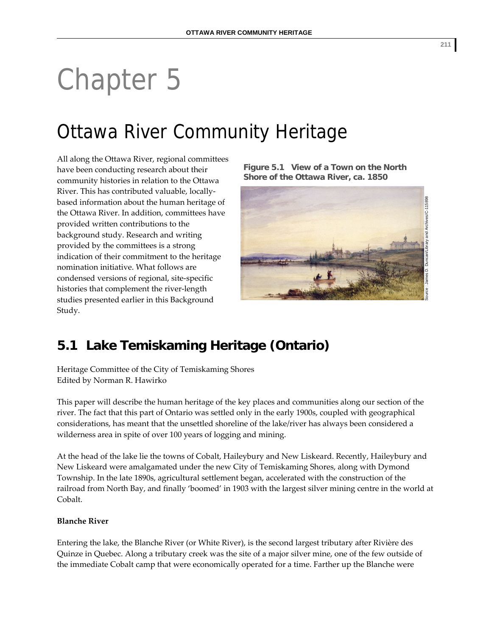# Chapter 5

## Ottawa River Community Heritage

All along the Ottawa River, regional committees have been conducting research about their community histories in relation to the Ottawa River. This has contributed valuable, locally‐ based information about the human heritage of the Ottawa River. In addition, committees have provided written contributions to the background study. Research and writing provided by the committees is a strong indication of their commitment to the heritage nomination initiative. What follows are condensed versions of regional, site‐specific histories that complement the river‐length studies presented earlier in this Background Study.

**Figure 5.1 View of a Town on the North Shore of the Ottawa River, ca. 1850** 



### **5.1 Lake Temiskaming Heritage (Ontario)**

Heritage Committee of the City of Temiskaming Shores Edited by Norman R. Hawirko

This paper will describe the human heritage of the key places and communities along our section of the river. The fact that this part of Ontario was settled only in the early 1900s, coupled with geographical considerations, has meant that the unsettled shoreline of the lake/river has always been considered a wilderness area in spite of over 100 years of logging and mining.

At the head of the lake lie the towns of Cobalt, Haileybury and New Liskeard. Recently, Haileybury and New Liskeard were amalgamated under the new City of Temiskaming Shores, along with Dymond Township. In the late 1890s, agricultural settlement began, accelerated with the construction of the railroad from North Bay, and finally 'boomed' in 1903 with the largest silver mining centre in the world at Cobalt.

#### **Blanche River**

Entering the lake, the Blanche River (or White River), is the second largest tributary after Rivière des Quinze in Quebec. Along a tributary creek was the site of a major silver mine, one of the few outside of the immediate Cobalt camp that were economically operated for a time. Farther up the Blanche were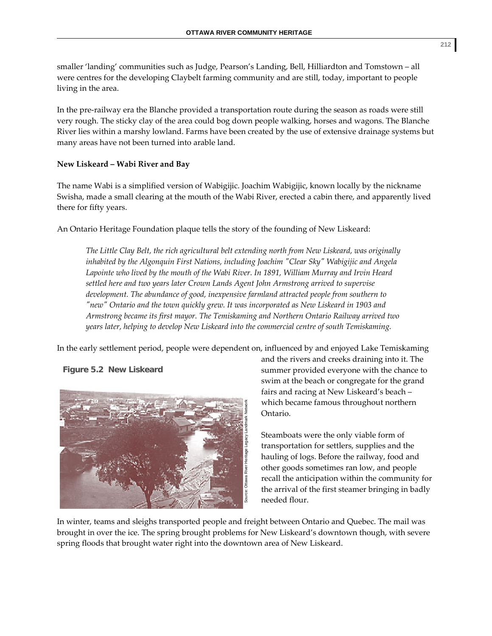smaller 'landing' communities such as Judge, Pearson's Landing, Bell, Hilliardton and Tomstown – all were centres for the developing Claybelt farming community and are still, today, important to people living in the area.

In the pre-railway era the Blanche provided a transportation route during the season as roads were still very rough. The sticky clay of the area could bog down people walking, horses and wagons. The Blanche River lies within a marshy lowland. Farms have been created by the use of extensive drainage systems but many areas have not been turned into arable land.

#### **New Liskeard – Wabi River and Bay**

The name Wabi is a simplified version of Wabigijic. Joachim Wabigijic, known locally by the nickname Swisha, made a small clearing at the mouth of the Wabi River, erected a cabin there, and apparently lived there for fifty years.

An Ontario Heritage Foundation plaque tells the story of the founding of New Liskeard:

*The Little Clay Belt, the rich agricultural belt extending north from New Liskeard, was originally inhabited by the Algonquin First Nations, including Joachim ʺClear Skyʺ Wabigijic and Angela Lapointe who lived by the mouth of the Wabi River. In 1891, William Murray and Irvin Heard settled here and two years later Crown Lands Agent John Armstrong arrived to supervise development. The abundance of good, inexpensive farmland attracted people from southern to ʺnewʺ Ontario and the town quickly grew. It was incorporated as New Liskeard in 1903 and Armstrong became its first mayor. The Temiskaming and Northern Ontario Railway arrived two years later, helping to develop New Liskeard into the commercial centre of south Temiskaming.*

In the early settlement period, people were dependent on, influenced by and enjoyed Lake Temiskaming

**Figure 5.2 New Liskeard** 



and the rivers and creeks draining into it. The summer provided everyone with the chance to swim at the beach or congregate for the grand fairs and racing at New Liskeard's beach – which became famous throughout northern Ontario.

Steamboats were the only viable form of transportation for settlers, supplies and the hauling of logs. Before the railway, food and other goods sometimes ran low, and people recall the anticipation within the community for the arrival of the first steamer bringing in badly needed flour.

In winter, teams and sleighs transported people and freight between Ontario and Quebec. The mail was brought in over the ice. The spring brought problems for New Liskeard's downtown though, with severe spring floods that brought water right into the downtown area of New Liskeard.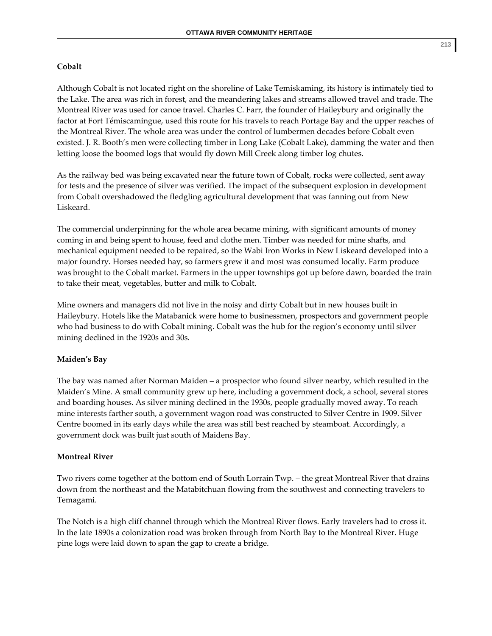#### **Cobalt**

Although Cobalt is not located right on the shoreline of Lake Temiskaming, its history is intimately tied to the Lake. The area was rich in forest, and the meandering lakes and streams allowed travel and trade. The Montreal River was used for canoe travel. Charles C. Farr, the founder of Haileybury and originally the factor at Fort Témiscamingue, used this route for his travels to reach Portage Bay and the upper reaches of the Montreal River. The whole area was under the control of lumbermen decades before Cobalt even existed. J. R. Booth's men were collecting timber in Long Lake (Cobalt Lake), damming the water and then letting loose the boomed logs that would fly down Mill Creek along timber log chutes.

As the railway bed was being excavated near the future town of Cobalt, rocks were collected, sent away for tests and the presence of silver was verified. The impact of the subsequent explosion in development from Cobalt overshadowed the fledgling agricultural development that was fanning out from New Liskeard.

The commercial underpinning for the whole area became mining, with significant amounts of money coming in and being spent to house, feed and clothe men. Timber was needed for mine shafts, and mechanical equipment needed to be repaired, so the Wabi Iron Works in New Liskeard developed into a major foundry. Horses needed hay, so farmers grew it and most was consumed locally. Farm produce was brought to the Cobalt market. Farmers in the upper townships got up before dawn, boarded the train to take their meat, vegetables, butter and milk to Cobalt.

Mine owners and managers did not live in the noisy and dirty Cobalt but in new houses built in Haileybury. Hotels like the Matabanick were home to businessmen, prospectors and government people who had business to do with Cobalt mining. Cobalt was the hub for the region's economy until silver mining declined in the 1920s and 30s.

#### **Maiden's Bay**

The bay was named after Norman Maiden – a prospector who found silver nearby, which resulted in the Maiden's Mine. A small community grew up here, including a government dock, a school, several stores and boarding houses. As silver mining declined in the 1930s, people gradually moved away. To reach mine interests farther south, a government wagon road was constructed to Silver Centre in 1909. Silver Centre boomed in its early days while the area was still best reached by steamboat. Accordingly, a government dock was built just south of Maidens Bay.

#### **Montreal River**

Two rivers come together at the bottom end of South Lorrain Twp. – the great Montreal River that drains down from the northeast and the Matabitchuan flowing from the southwest and connecting travelers to Temagami.

The Notch is a high cliff channel through which the Montreal River flows. Early travelers had to cross it. In the late 1890s a colonization road was broken through from North Bay to the Montreal River. Huge pine logs were laid down to span the gap to create a bridge.